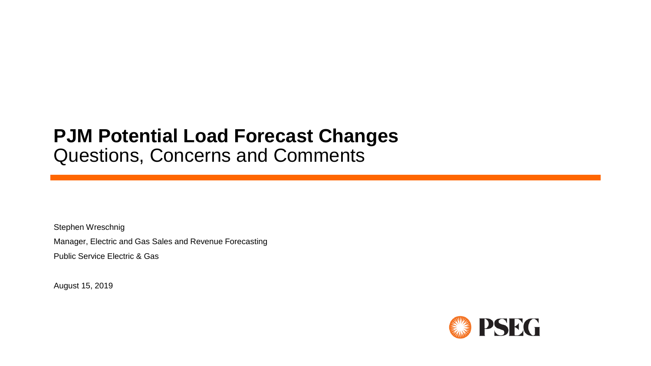# **PJM Potential Load Forecast Changes** Questions, Concerns and Comments

Stephen Wreschnig

Manager, Electric and Gas Sales and Revenue Forecasting

Public Service Electric & Gas

August 15, 2019

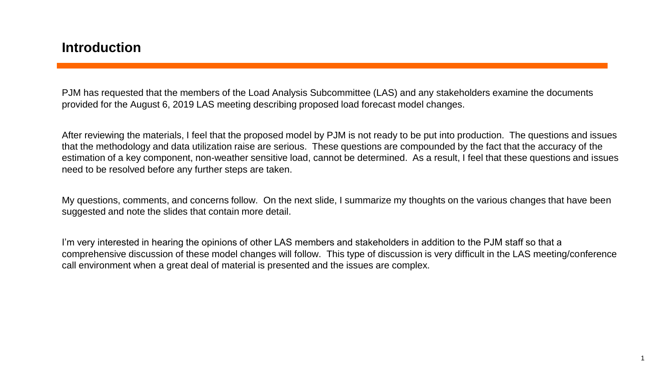#### **Introduction**

PJM has requested that the members of the Load Analysis Subcommittee (LAS) and any stakeholders examine the documents provided for the August 6, 2019 LAS meeting describing proposed load forecast model changes.

After reviewing the materials, I feel that the proposed model by PJM is not ready to be put into production. The questions and issues that the methodology and data utilization raise are serious. These questions are compounded by the fact that the accuracy of the estimation of a key component, non-weather sensitive load, cannot be determined. As a result, I feel that these questions and issues need to be resolved before any further steps are taken.

My questions, comments, and concerns follow. On the next slide, I summarize my thoughts on the various changes that have been suggested and note the slides that contain more detail.

I'm very interested in hearing the opinions of other LAS members and stakeholders in addition to the PJM staff so that a comprehensive discussion of these model changes will follow. This type of discussion is very difficult in the LAS meeting/conference call environment when a great deal of material is presented and the issues are complex.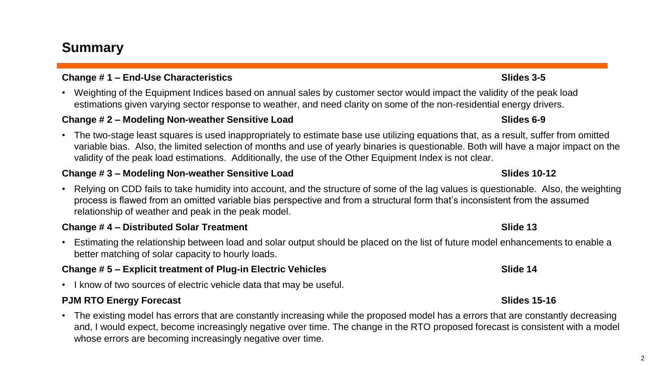## **Summary**

#### **Change # 1 – End-Use Characteristics Slides 3-5**

• Weighting of the Equipment Indices based on annual sales by customer sector would impact the validity of the peak load estimations given varying sector response to weather, and need clarity on some of the non-residential energy drivers.

#### **Change # 2 – Modeling Non-weather Sensitive Load Slides 6-9**

• The two-stage least squares is used inappropriately to estimate base use utilizing equations that, as a result, suffer from omitted variable bias. Also, the limited selection of months and use of yearly binaries is questionable. Both will have a major impact on the validity of the peak load estimations. Additionally, the use of the Other Equipment Index is not clear.

#### **Change # 3 – Modeling Non-weather Sensitive Load Slides 10-12**

• Relying on CDD fails to take humidity into account, and the structure of some of the lag values is questionable. Also, the weighting process is flawed from an omitted variable bias perspective and from a structural form that's inconsistent from the assumed relationship of weather and peak in the peak model.

#### **Change # 4 – Distributed Solar Treatment Slide 13**

• Estimating the relationship between load and solar output should be placed on the list of future model enhancements to enable a better matching of solar capacity to hourly loads.

#### **Change # 5 – Explicit treatment of Plug-in Electric Vehicles Slide 14** Slide 14

• I know of two sources of electric vehicle data that may be useful.

#### **PJM RTO Energy Forecast** Slides 15-16

• The existing model has errors that are constantly increasing while the proposed model has a errors that are constantly decreasing and, I would expect, become increasingly negative over time. The change in the RTO proposed forecast is consistent with a model whose errors are becoming increasingly negative over time.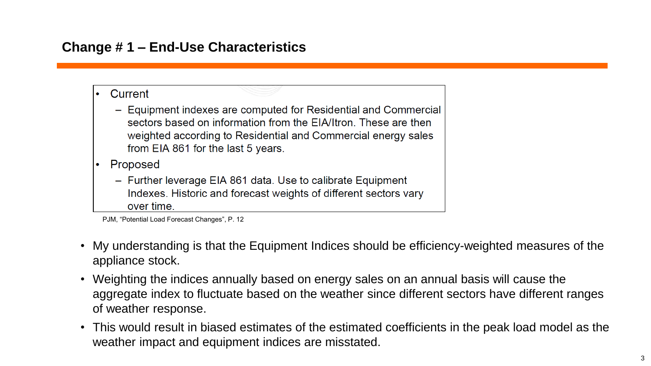## **Change # 1 – End-Use Characteristics**

- Current
	- Equipment indexes are computed for Residential and Commercial sectors based on information from the EIA/Itron. These are then weighted according to Residential and Commercial energy sales from EIA 861 for the last 5 years.
- Proposed
	- Further leverage EIA 861 data. Use to calibrate Equipment Indexes. Historic and forecast weights of different sectors vary over time.

- My understanding is that the Equipment Indices should be efficiency-weighted measures of the appliance stock.
- Weighting the indices annually based on energy sales on an annual basis will cause the aggregate index to fluctuate based on the weather since different sectors have different ranges of weather response.
- This would result in biased estimates of the estimated coefficients in the peak load model as the weather impact and equipment indices are misstated.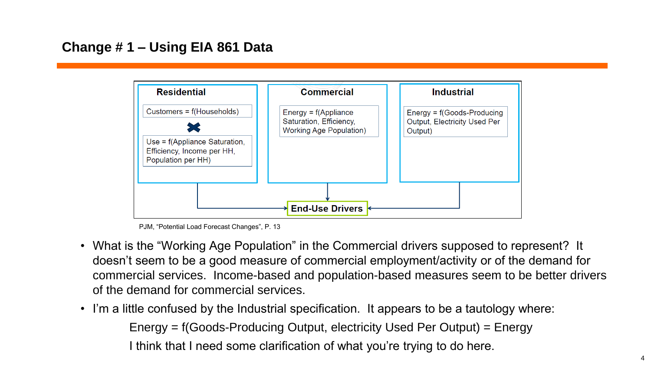

PJM, "Potential Load Forecast Changes", P. 13

- What is the "Working Age Population" in the Commercial drivers supposed to represent? It doesn't seem to be a good measure of commercial employment/activity or of the demand for commercial services. Income-based and population-based measures seem to be better drivers of the demand for commercial services.
- I'm a little confused by the Industrial specification. It appears to be a tautology where: Energy = f(Goods-Producing Output, electricity Used Per Output) = Energy I think that I need some clarification of what you're trying to do here.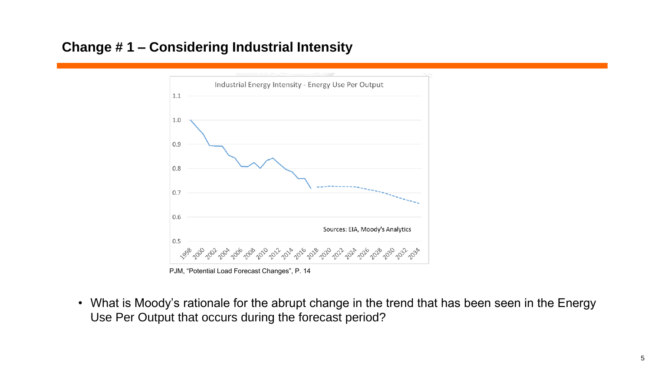## **Change # 1 – Considering Industrial Intensity**



PJM, "Potential Load Forecast Changes", P. 14

• What is Moody's rationale for the abrupt change in the trend that has been seen in the Energy Use Per Output that occurs during the forecast period?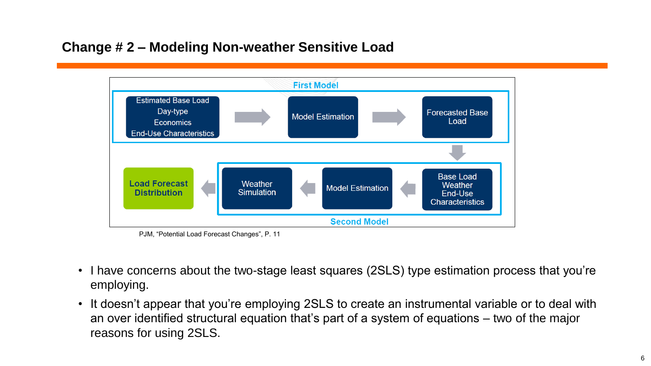## **Change # 2 – Modeling Non-weather Sensitive Load**



PJM, "Potential Load Forecast Changes", P. 11

- I have concerns about the two-stage least squares (2SLS) type estimation process that you're employing.
- It doesn't appear that you're employing 2SLS to create an instrumental variable or to deal with an over identified structural equation that's part of a system of equations – two of the major reasons for using 2SLS.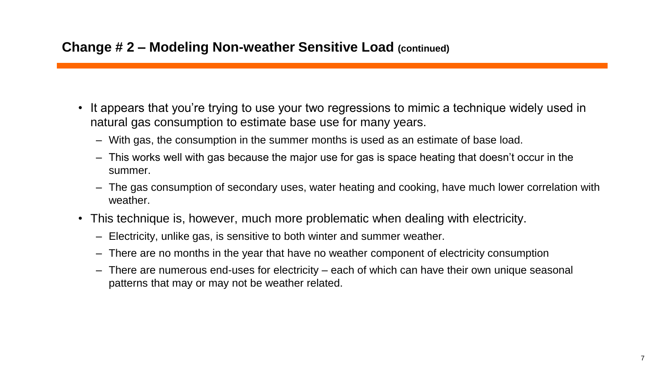- It appears that you're trying to use your two regressions to mimic a technique widely used in natural gas consumption to estimate base use for many years.
	- With gas, the consumption in the summer months is used as an estimate of base load.
	- This works well with gas because the major use for gas is space heating that doesn't occur in the summer.
	- The gas consumption of secondary uses, water heating and cooking, have much lower correlation with weather.
- This technique is, however, much more problematic when dealing with electricity.
	- Electricity, unlike gas, is sensitive to both winter and summer weather.
	- There are no months in the year that have no weather component of electricity consumption
	- There are numerous end-uses for electricity each of which can have their own unique seasonal patterns that may or may not be weather related.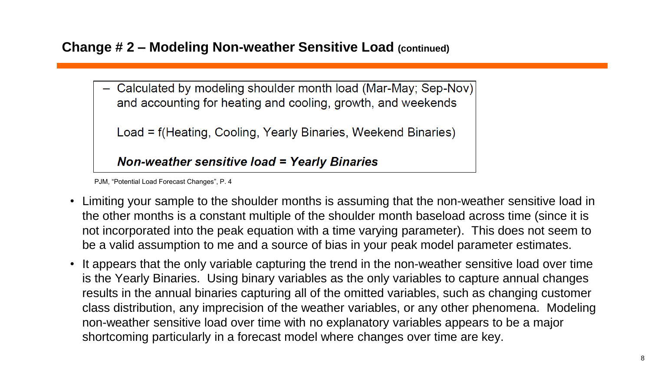#### **Change # 2 – Modeling Non-weather Sensitive Load (continued)**

- Calculated by modeling shoulder month load (Mar-May; Sep-Nov) and accounting for heating and cooling, growth, and weekends

Load = f(Heating, Cooling, Yearly Binaries, Weekend Binaries)

#### **Non-weather sensitive load = Yearly Binaries**

- Limiting your sample to the shoulder months is assuming that the non-weather sensitive load in the other months is a constant multiple of the shoulder month baseload across time (since it is not incorporated into the peak equation with a time varying parameter). This does not seem to be a valid assumption to me and a source of bias in your peak model parameter estimates.
- It appears that the only variable capturing the trend in the non-weather sensitive load over time is the Yearly Binaries. Using binary variables as the only variables to capture annual changes results in the annual binaries capturing all of the omitted variables, such as changing customer class distribution, any imprecision of the weather variables, or any other phenomena. Modeling non-weather sensitive load over time with no explanatory variables appears to be a major shortcoming particularly in a forecast model where changes over time are key.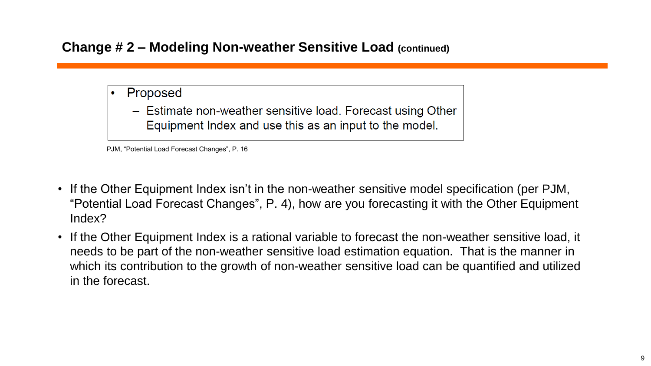### **Change # 2 – Modeling Non-weather Sensitive Load (continued)**

- Proposed
	- Estimate non-weather sensitive load. Forecast using Other Equipment Index and use this as an input to the model.

- If the Other Equipment Index isn't in the non-weather sensitive model specification (per PJM, "Potential Load Forecast Changes", P. 4), how are you forecasting it with the Other Equipment Index?
- If the Other Equipment Index is a rational variable to forecast the non-weather sensitive load, it needs to be part of the non-weather sensitive load estimation equation. That is the manner in which its contribution to the growth of non-weather sensitive load can be quantified and utilized in the forecast.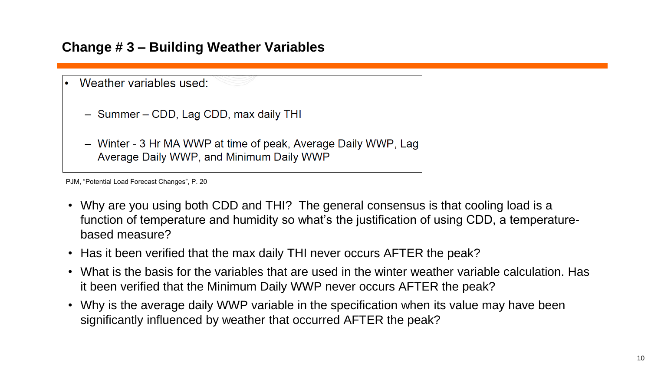## **Change # 3 – Building Weather Variables**

|  | Weather variables used:                                                                                    |
|--|------------------------------------------------------------------------------------------------------------|
|  | - Summer – CDD, Lag CDD, max daily THI                                                                     |
|  | - Winter - 3 Hr MA WWP at time of peak, Average Daily WWP, Lag<br>Average Daily WWP, and Minimum Daily WWP |

- Why are you using both CDD and THI? The general consensus is that cooling load is a function of temperature and humidity so what's the justification of using CDD, a temperaturebased measure?
- Has it been verified that the max daily THI never occurs AFTER the peak?
- What is the basis for the variables that are used in the winter weather variable calculation. Has it been verified that the Minimum Daily WWP never occurs AFTER the peak?
- Why is the average daily WWP variable in the specification when its value may have been significantly influenced by weather that occurred AFTER the peak?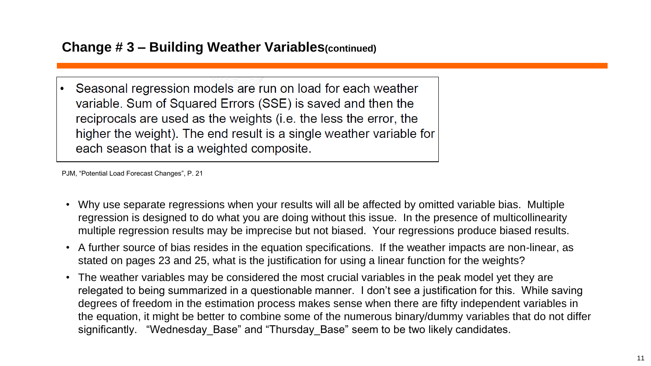#### **Change # 3 – Building Weather Variables(continued)**

Seasonal regression models are run on load for each weather variable. Sum of Squared Errors (SSE) is saved and then the reciprocals are used as the weights (i.e. the less the error, the higher the weight). The end result is a single weather variable for each season that is a weighted composite.

- Why use separate regressions when your results will all be affected by omitted variable bias. Multiple regression is designed to do what you are doing without this issue. In the presence of multicollinearity multiple regression results may be imprecise but not biased. Your regressions produce biased results.
- A further source of bias resides in the equation specifications. If the weather impacts are non-linear, as stated on pages 23 and 25, what is the justification for using a linear function for the weights?
- The weather variables may be considered the most crucial variables in the peak model yet they are relegated to being summarized in a questionable manner. I don't see a justification for this. While saving degrees of freedom in the estimation process makes sense when there are fifty independent variables in the equation, it might be better to combine some of the numerous binary/dummy variables that do not differ significantly. "Wednesday Base" and "Thursday Base" seem to be two likely candidates.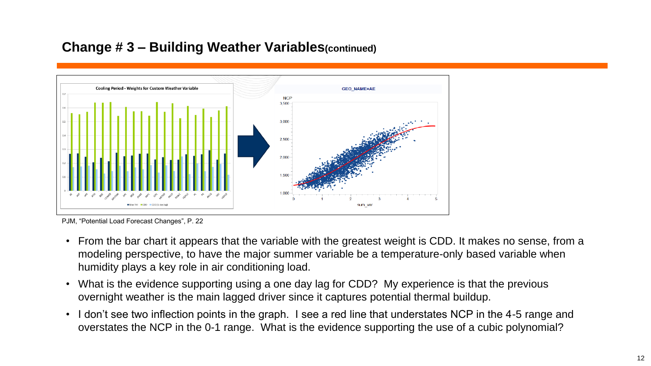### **Change # 3 – Building Weather Variables(continued)**



PJM, "Potential Load Forecast Changes", P. 22

- From the bar chart it appears that the variable with the greatest weight is CDD. It makes no sense, from a modeling perspective, to have the major summer variable be a temperature-only based variable when humidity plays a key role in air conditioning load.
- What is the evidence supporting using a one day lag for CDD? My experience is that the previous overnight weather is the main lagged driver since it captures potential thermal buildup.
- I don't see two inflection points in the graph. I see a red line that understates NCP in the 4-5 range and overstates the NCP in the 0-1 range. What is the evidence supporting the use of a cubic polynomial?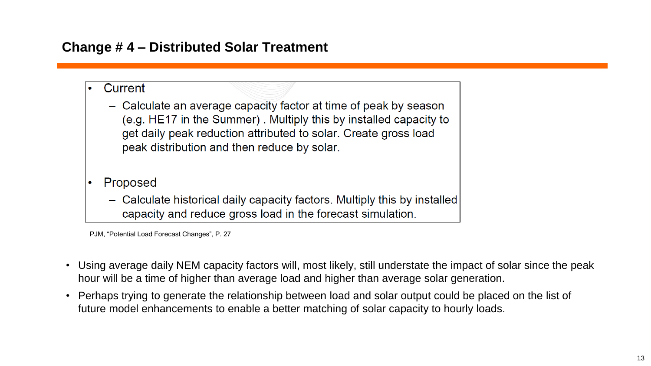## **Change # 4 – Distributed Solar Treatment**

- Current
	- Calculate an average capacity factor at time of peak by season (e.g. HE17 in the Summer). Multiply this by installed capacity to get daily peak reduction attributed to solar. Create gross load peak distribution and then reduce by solar.
- Proposed
	- Calculate historical daily capacity factors. Multiply this by installed capacity and reduce gross load in the forecast simulation.

- Using average daily NEM capacity factors will, most likely, still understate the impact of solar since the peak hour will be a time of higher than average load and higher than average solar generation.
- Perhaps trying to generate the relationship between load and solar output could be placed on the list of future model enhancements to enable a better matching of solar capacity to hourly loads.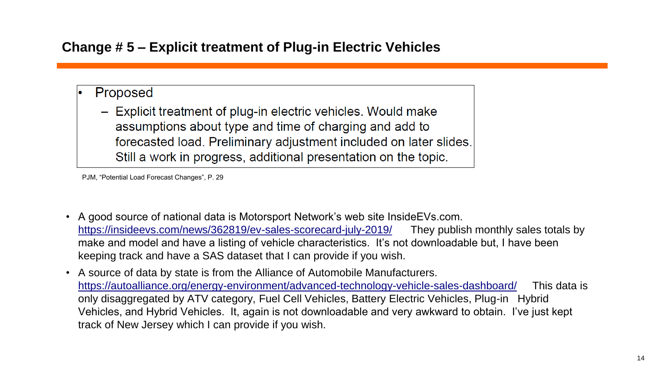## **Change # 5 – Explicit treatment of Plug-in Electric Vehicles**

- Proposed
	- Explicit treatment of plug-in electric vehicles. Would make assumptions about type and time of charging and add to forecasted load. Preliminary adjustment included on later slides. Still a work in progress, additional presentation on the topic.

- A good source of national data is Motorsport Network's web site InsideEVs.com. <https://insideevs.com/news/362819/ev-sales-scorecard-july-2019/> They publish monthly sales totals by make and model and have a listing of vehicle characteristics. It's not downloadable but, I have been keeping track and have a SAS dataset that I can provide if you wish.
- A source of data by state is from the Alliance of Automobile Manufacturers. <https://autoalliance.org/energy-environment/advanced-technology-vehicle-sales-dashboard/> This data is only disaggregated by ATV category, Fuel Cell Vehicles, Battery Electric Vehicles, Plug-in Hybrid Vehicles, and Hybrid Vehicles. It, again is not downloadable and very awkward to obtain. I've just kept track of New Jersey which I can provide if you wish.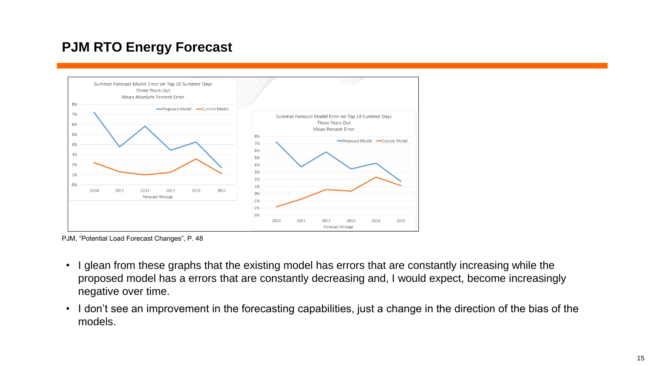## **PJM RTO Energy Forecast**



PJM, "Potential Load Forecast Changes", P. 48

- I glean from these graphs that the existing model has errors that are constantly increasing while the proposed model has a errors that are constantly decreasing and, I would expect, become increasingly negative over time.
- I don't see an improvement in the forecasting capabilities, just a change in the direction of the bias of the models.